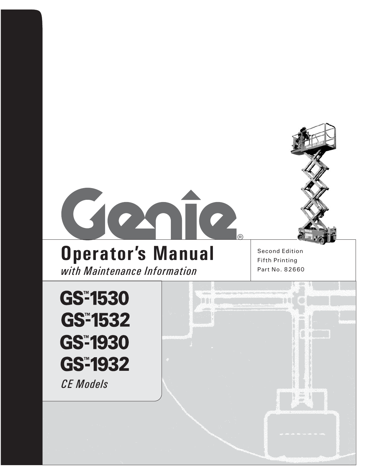

# **Operator's Manual** Second Edition

*with Maintenance Information* Part No. 82660

Fifth Printing

TT

 $\mathcal{N}=\mathcal{N}$ 

**GS<sup>™</sup>1530 GS<sup>™</sup>1532 GS<sup>™</sup>1930 GS<sup>™</sup>1932** *CE Models*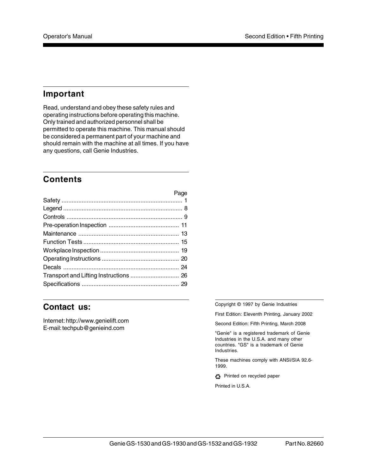## **Important**

Read, understand and obey these safety rules and operating instructions before operating this machine. Only trained and authorized personnel shall be permitted to operate this machine. This manual should be considered a permanent part of your machine and should remain with the machine at all times. If you have any questions, call Genie Industries.

## **Contents**

|                                        | Page |
|----------------------------------------|------|
|                                        |      |
|                                        |      |
|                                        |      |
|                                        |      |
|                                        |      |
|                                        |      |
|                                        |      |
|                                        |      |
|                                        |      |
| Transport and Lifting Instructions  26 |      |
|                                        |      |

### **Contact us:**

Internet: http://www.genielift.com E-mail: techpub@genieind.com

Copyright © 1997 by Genie Industries

First Edition: Eleventh Printing, January 2002

Second Edition: Fifth Printing, March 2008

"Genie" is a registered trademark of Genie Industries in the U.S.A. and many other countries. "GS" is a trademark of Genie Industries.

These machines comply with ANSI/SIA 92.6- 1999.

Printed on recycled paper

Printed in U.S.A.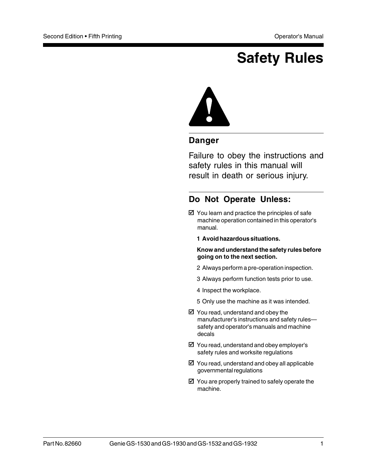## **Safety Rules**



### **Danger**

Failure to obey the instructions and safety rules in this manual will result in death or serious injury.

## **Do Not Operate Unless:**

- $\boxtimes$  You learn and practice the principles of safe machine operation contained in this operator's manual.
	- **1 Avoid hazardous situations.**

**Know and understand the safety rules before going on to the next section.**

- 2 Always perform a pre-operation inspection.
- 3 Always perform function tests prior to use.
- 4 Inspect the workplace.
- 5 Only use the machine as it was intended.
- $\boxtimes$  You read, understand and obey the manufacturer's instructions and safety rules safety and operator's manuals and machine decals
- $\boxtimes$  You read, understand and obey employer's safety rules and worksite regulations
- $\boxtimes$  You read, understand and obey all applicable governmental regulations
- $\boxtimes$  You are properly trained to safely operate the machine.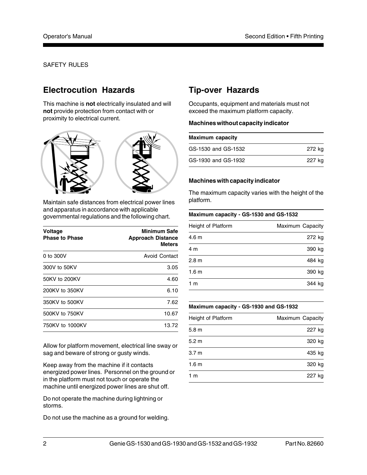## **Electrocution Hazards**

This machine is **not** electrically insulated and will **not** provide protection from contact with or proximity to electrical current.



Maintain safe distances from electrical power lines and apparatus in accordance with applicable governmental regulations and the following chart.

| Voltage<br><b>Phase to Phase</b> | <b>Minimum Safe</b><br><b>Approach Distance</b><br><b>Meters</b> |
|----------------------------------|------------------------------------------------------------------|
| 0 to 300V                        | <b>Avoid Contact</b>                                             |
| 300V to 50KV                     | 3.05                                                             |
| 50KV to 200KV                    | 4.60                                                             |
| 200KV to 350KV                   | 6.10                                                             |
| 350KV to 500KV                   | 7.62                                                             |
| 500KV to 750KV                   | 10.67                                                            |
| 750KV to 1000KV                  | 13.72                                                            |

Allow for platform movement, electrical line sway or sag and beware of strong or gusty winds.

Keep away from the machine if it contacts energized power lines. Personnel on the ground or in the platform must not touch or operate the machine until energized power lines are shut off.

Do not operate the machine during lightning or storms.

Do not use the machine as a ground for welding.

## **Tip-over Hazards**

Occupants, equipment and materials must not exceed the maximum platform capacity.

#### **Machines without capacity indicator**

| Maximum capacity    |        |  |
|---------------------|--------|--|
| GS-1530 and GS-1532 | 272 kg |  |
| GS-1930 and GS-1932 | 227 kg |  |

#### **Machines with capacity indicator**

The maximum capacity varies with the height of the platform.

| Maximum capacity - GS-1530 and GS-1532 |                  |
|----------------------------------------|------------------|
| Height of Platform                     | Maximum Capacity |
| 4.6 m                                  | 272 kg           |
| 4 m                                    | 390 kg           |
| 2.8 <sub>m</sub>                       | 484 kg           |
| 1.6 <sub>m</sub>                       | 390 kg           |
| 1 m                                    | 344 kg           |

#### **Maximum capacity - GS-1930 and GS-1932**

| Height of Platform | Maximum Capacity |
|--------------------|------------------|
| 5.8 <sub>m</sub>   | 227 kg           |
| 5.2 <sub>m</sub>   | 320 kg           |
| 3.7 <sub>m</sub>   | 435 kg           |
| 1.6 <sub>m</sub>   | 320 kg           |
| 1 m                | 227 kg           |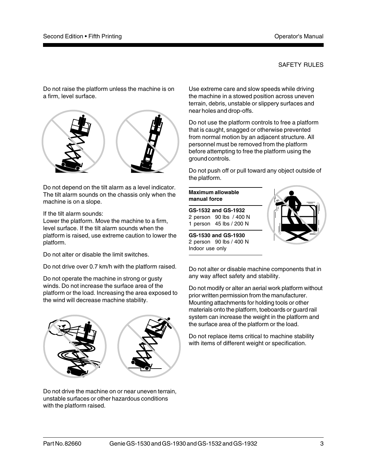Do not raise the platform unless the machine is on a firm, level surface.



Do not depend on the tilt alarm as a level indicator. The tilt alarm sounds on the chassis only when the machine is on a slope.

If the tilt alarm sounds:

Lower the platform. Move the machine to a firm, level surface. If the tilt alarm sounds when the platform is raised, use extreme caution to lower the platform.

Do not alter or disable the limit switches.

Do not drive over 0.7 km/h with the platform raised.

Do not operate the machine in strong or gusty winds. Do not increase the surface area of the platform or the load. Increasing the area exposed to the wind will decrease machine stability.



Do not drive the machine on or near uneven terrain, unstable surfaces or other hazardous conditions with the platform raised.

Use extreme care and slow speeds while driving the machine in a stowed position across uneven terrain, debris, unstable or slippery surfaces and near holes and drop-offs.

Do not use the platform controls to free a platform that is caught, snagged or otherwise prevented from normal motion by an adjacent structure. All personnel must be removed from the platform before attempting to free the platform using the ground controls.

Do not push off or pull toward any object outside of the platform.

### **Maximum allowable manual force**

**GS-1532 and GS-1932** 2 person 90 lbs / 400 N 1 person 45 lbs / 200 N

**GS-1530 and GS-1930** 2 person 90 lbs / 400 N Indoor use only



Do not alter or disable machine components that in any way affect safety and stability.

Do not modify or alter an aerial work platform without prior written permission from the manufacturer. Mounting attachments for holding tools or other materials onto the platform, toeboards or guard rail system can increase the weight in the platform and the surface area of the platform or the load.

Do not replace items critical to machine stability with items of different weight or specification.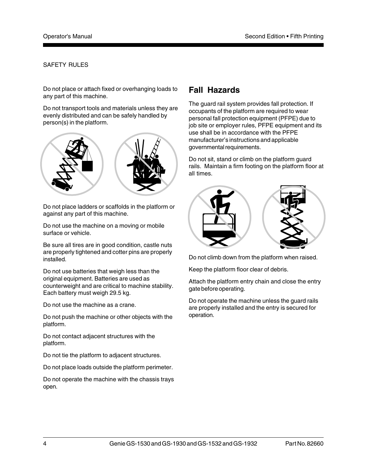Do not place or attach fixed or overhanging loads to any part of this machine.

Do not transport tools and materials unless they are evenly distributed and can be safely handled by person(s) in the platform.



Do not place ladders or scaffolds in the platform or against any part of this machine.

Do not use the machine on a moving or mobile surface or vehicle.

Be sure all tires are in good condition, castle nuts are properly tightened and cotter pins are properly installed.

Do not use batteries that weigh less than the original equipment. Batteries are used as counterweight and are critical to machine stability. Each battery must weigh 29.5 kg.

Do not use the machine as a crane.

Do not push the machine or other objects with the platform.

Do not contact adjacent structures with the platform.

Do not tie the platform to adjacent structures.

Do not place loads outside the platform perimeter.

Do not operate the machine with the chassis trays open.

## **Fall Hazards**

The guard rail system provides fall protection. If occupants of the platform are required to wear personal fall protection equipment (PFPE) due to job site or employer rules, PFPE equipment and its use shall be in accordance with the PFPE manufacturer's instructions and applicable governmental requirements.

Do not sit, stand or climb on the platform guard rails. Maintain a firm footing on the platform floor at all times.



Do not climb down from the platform when raised.

Keep the platform floor clear of debris.

Attach the platform entry chain and close the entry gate before operating.

Do not operate the machine unless the guard rails are properly installed and the entry is secured for operation.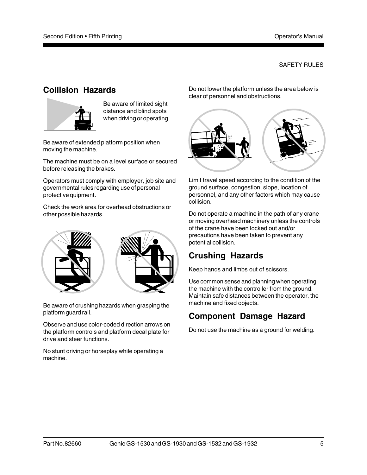## **Collision Hazards**



Be aware of limited sight distance and blind spots when driving or operating.

Be aware of extended platform position when moving the machine.

The machine must be on a level surface or secured before releasing the brakes.

Operators must comply with employer, job site and governmental rules regarding use of personal protective quipment.

Check the work area for overhead obstructions or other possible hazards.



Be aware of crushing hazards when grasping the platform guard rail.

Observe and use color-coded direction arrows on the platform controls and platform decal plate for drive and steer functions.

No stunt driving or horseplay while operating a machine.

Do not lower the platform unless the area below is clear of personnel and obstructions.



Limit travel speed according to the condition of the ground surface, congestion, slope, location of personnel, and any other factors which may cause collision.

Do not operate a machine in the path of any crane or moving overhead machinery unless the controls of the crane have been locked out and/or precautions have been taken to prevent any potential collision.

## **Crushing Hazards**

Keep hands and limbs out of scissors.

Use common sense and planning when operating the machine with the controller from the ground. Maintain safe distances between the operator, the machine and fixed objects.

## **Component Damage Hazard**

Do not use the machine as a ground for welding.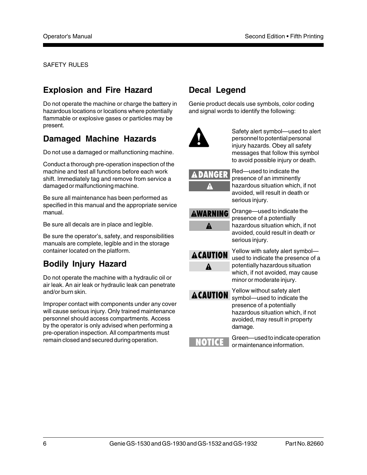## **Explosion and Fire Hazard**

Do not operate the machine or charge the battery in hazardous locations or locations where potentially flammable or explosive gases or particles may be present.

## **Damaged Machine Hazards**

Do not use a damaged or malfunctioning machine.

Conduct a thorough pre-operation inspection of the machine and test all functions before each work shift. Immediately tag and remove from service a damaged or malfunctioning machine.

Be sure all maintenance has been performed as specified in this manual and the appropriate service manual.

Be sure all decals are in place and legible.

Be sure the operator's, safety, and responsibilities manuals are complete, legible and in the storage container located on the platform.

## **Bodily Injury Hazard**

Do not operate the machine with a hydraulic oil or air leak. An air leak or hydraulic leak can penetrate and/or burn skin.

Improper contact with components under any cover will cause serious injury. Only trained maintenance personnel should access compartments. Access by the operator is only advised when performing a pre-operation inspection. All compartments must remain closed and secured during operation.

## **Decal Legend**

Genie product decals use symbols, color coding and signal words to identify the following:



Safety alert symbol—used to alert personnel to potential personal injury hazards. Obey all safety messages that follow this symbol to avoid possible injury or death.

Red—used to indicate the presence of an imminently hazardous situation which, if not avoided, will result in death or serious injury.

| <b>AWARNING</b> |
|-----------------|
| Δ               |

Orange—used to indicate the presence of a potentially hazardous situation which, if not avoided, could result in death or serious injury.



Yellow with safety alert symbol used to indicate the presence of a potentially hazardous situation which, if not avoided, may cause minor or moderate injury.

**ACAUTION** 

Yellow without safety alert symbol—used to indicate the presence of a potentially hazardous situation which, if not avoided, may result in property damage.

Green—used to indicate operation or maintenance information.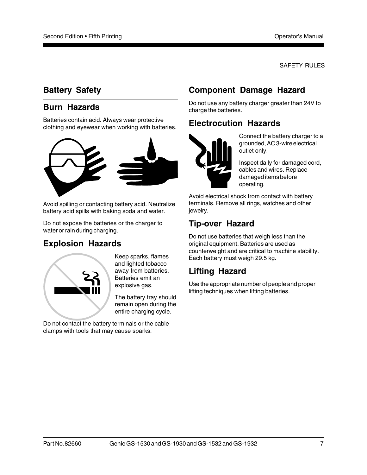## **Battery Safety**

## **Burn Hazards**

Batteries contain acid. Always wear protective clothing and eyewear when working with batteries.



Avoid spilling or contacting battery acid. Neutralize battery acid spills with baking soda and water.

Do not expose the batteries or the charger to water or rain during charging.

## **Explosion Hazards**



Keep sparks, flames and lighted tobacco away from batteries. Batteries emit an explosive gas.

The battery tray should remain open during the entire charging cycle.

Do not contact the battery terminals or the cable clamps with tools that may cause sparks.

## **Component Damage Hazard**

Do not use any battery charger greater than 24V to charge the batteries.

## **Electrocution Hazards**



Connect the battery charger to a grounded, AC 3-wire electrical outlet only.

Inspect daily for damaged cord, cables and wires. Replace damaged items before operating.

Avoid electrical shock from contact with battery terminals. Remove all rings, watches and other jewelry.

## **Tip-over Hazard**

Do not use batteries that weigh less than the original equipment. Batteries are used as counterweight and are critical to machine stability. Each battery must weigh 29.5 kg.

## **Lifting Hazard**

Use the appropriate number of people and proper lifting techniques when lifting batteries.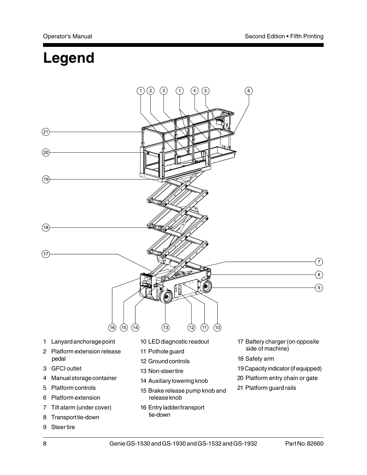## **Legend**



9 Steer tire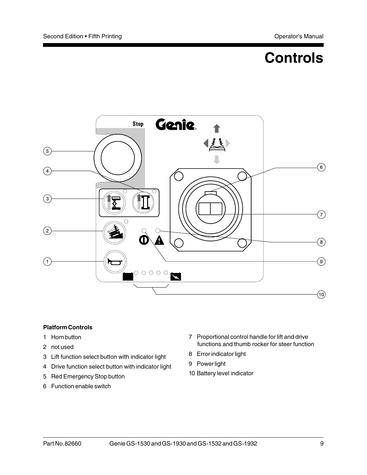## **Controls**



#### **Platform Controls**

- 1 Horn button
- 2 not used
- 3 Lift function select button with indicator light
- 4 Drive function select button with indicator light
- 5 Red Emergency Stop button
- 6 Function enable switch
- 7 Proportional control handle for lift and drive functions and thumb rocker for steer function
- 8 Error indicator light
- 9 Power light
- 10 Battery level indicator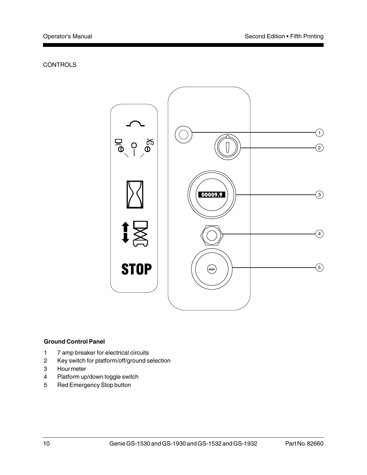#### **CONTROLS**



#### **Ground Control Panel**

- 1 7 amp breaker for electrical circuits
- 2 Key switch for platform/off/ground selection
- 3 Hour meter
- 4 Platform up/down toggle switch
- 5 Red Emergency Stop button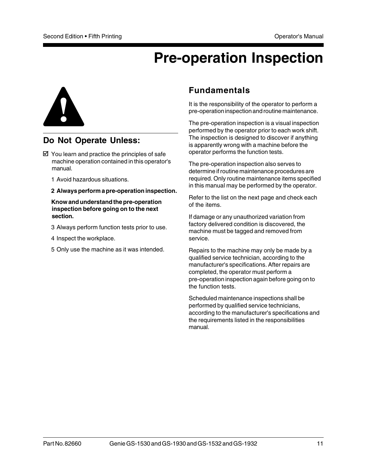## **Pre-operation Inspection**



## **Do Not Operate Unless:**

- $\boxtimes$  You learn and practice the principles of safe machine operation contained in this operator's manual.
	- 1 Avoid hazardous situations.
	- **2 Always perform a pre-operation inspection.**

#### **Know and understand the pre-operation inspection before going on to the next section.**

- 3 Always perform function tests prior to use.
- 4 Inspect the workplace.
- 5 Only use the machine as it was intended.

## **Fundamentals**

It is the responsibility of the operator to perform a pre-operation inspection and routine maintenance.

The pre-operation inspection is a visual inspection performed by the operator prior to each work shift. The inspection is designed to discover if anything is apparently wrong with a machine before the operator performs the function tests.

The pre-operation inspection also serves to determine if routine maintenance procedures are required. Only routine maintenance items specified in this manual may be performed by the operator.

Refer to the list on the next page and check each of the items.

If damage or any unauthorized variation from factory delivered condition is discovered, the machine must be tagged and removed from service.

Repairs to the machine may only be made by a qualified service technician, according to the manufacturer's specifications. After repairs are completed, the operator must perform a pre-operation inspection again before going on to the function tests.

Scheduled maintenance inspections shall be performed by qualified service technicians, according to the manufacturer's specifications and the requirements listed in the responsibilities manual.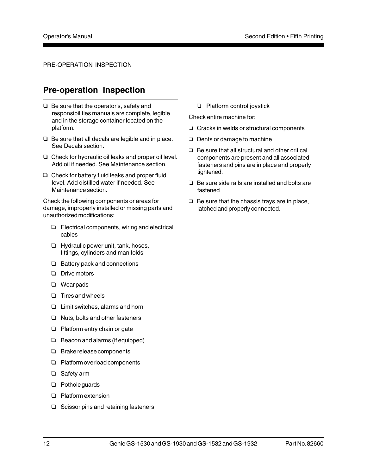#### PRE-OPERATION INSPECTION

## **Pre-operation Inspection**

- $\Box$  Be sure that the operator's, safety and responsibilities manuals are complete, legible and in the storage container located on the platform.
- $\Box$  Be sure that all decals are legible and in place. See Decals section.
- $\Box$  Check for hydraulic oil leaks and proper oil level. Add oil if needed. See Maintenance section.
- $\Box$  Check for battery fluid leaks and proper fluid level. Add distilled water if needed. See Maintenance section.

Check the following components or areas for damage, improperly installed or missing parts and unauthorized modifications:

- $\Box$  Electrical components, wiring and electrical cables
- $\Box$  Hydraulic power unit, tank, hoses, fittings, cylinders and manifolds
- $\Box$  Battery pack and connections
- $\Box$  Drive motors
- $\Box$  Wear pads
- $\Box$  Tires and wheels
- $\Box$  Limit switches, alarms and horn
- $\Box$  Nuts, bolts and other fasteners
- $\Box$  Platform entry chain or gate
- $\Box$  Beacon and alarms (if equipped)
- $\Box$  Brake release components
- $\Box$  Platform overload components
- $\Box$  Safety arm
- $\Box$  Pothole guards
- $\Box$  Platform extension
- $\Box$  Scissor pins and retaining fasteners

 $\Box$  Platform control joystick

Check entire machine for:

- $\Box$  Cracks in welds or structural components
- $\Box$  Dents or damage to machine
- $\Box$  Be sure that all structural and other critical components are present and all associated fasteners and pins are in place and properly tightened.
- $\Box$  Be sure side rails are installed and bolts are fastened
- $\Box$  Be sure that the chassis trays are in place, latched and properly connected.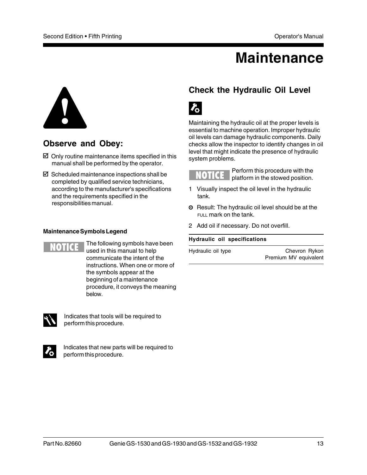## **Maintenance**



## **Observe and Obey:**

- $\boxtimes$  Only routine maintenance items specified in this manual shall be performed by the operator.
- $\boxtimes$  Scheduled maintenance inspections shall be completed by qualified service technicians, according to the manufacturer's specifications and the requirements specified in the responsibilities manual.

#### **Maintenance Symbols Legend**



The following symbols have been used in this manual to help communicate the intent of the instructions. When one or more of the symbols appear at the beginning of a maintenance procedure, it conveys the meaning below.



Indicates that tools will be required to perform this procedure.



Indicates that new parts will be required to perform this procedure.

## **Check the Hydraulic Oil Level**



Maintaining the hydraulic oil at the proper levels is essential to machine operation. Improper hydraulic oil levels can damage hydraulic components. Daily checks allow the inspector to identify changes in oil level that might indicate the presence of hydraulic system problems.

**IOTICE** 

Perform this procedure with the platform in the stowed position.

- 1 Visually inspect the oil level in the hydraulic tank.
- **O** Result: The hydraulic oil level should be at the FULL mark on the tank.
- 2 Add oil if necessary. Do not overfill.

#### **Hydraulic oil specifications**

Hydraulic oil type **Chevron** Rykon Premium MV equivalent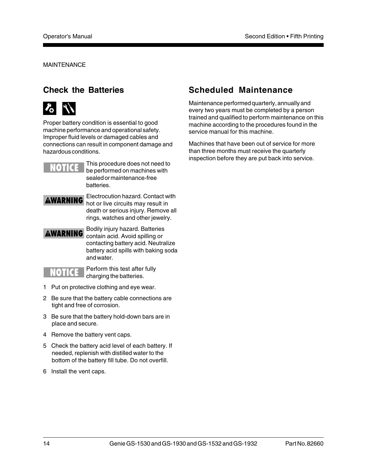MAINTENANCE

## **Check the Batteries**



Proper battery condition is essential to good machine performance and operational safety. Improper fluid levels or damaged cables and connections can result in component damage and hazardous conditions.



This procedure does not need to be performed on machines with sealed or maintenance-free batteries.

## **AWARNING**

Electrocution hazard. Contact with hot or live circuits may result in death or serious injury. Remove all rings, watches and other jewelry.

### **AWARNING**

Bodily injury hazard. Batteries contain acid. Avoid spilling or contacting battery acid. Neutralize battery acid spills with baking soda and water.



Perform this test after fully charging the batteries.

- 1 Put on protective clothing and eye wear.
- 2 Be sure that the battery cable connections are tight and free of corrosion.
- 3 Be sure that the battery hold-down bars are in place and secure.
- 4 Remove the battery vent caps.
- 5 Check the battery acid level of each battery. If needed, replenish with distilled water to the bottom of the battery fill tube. Do not overfill.
- 6 Install the vent caps.

## **Scheduled Maintenance**

Maintenance performed quarterly, annually and every two years must be completed by a person trained and qualified to perform maintenance on this machine according to the procedures found in the service manual for this machine.

Machines that have been out of service for more than three months must receive the quarterly inspection before they are put back into service.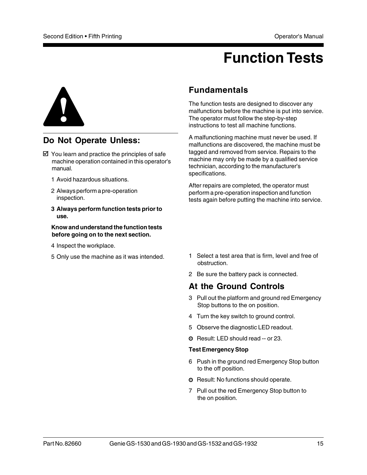## **Function Tests**



## **Do Not Operate Unless:**

- $\boxtimes$  You learn and practice the principles of safe machine operation contained in this operator's manual.
	- 1 Avoid hazardous situations.
	- 2 Always perform a pre-operation inspection.
	- **3 Always perform function tests prior to use.**

#### **Know and understand the function tests before going on to the next section.**

- 4 Inspect the workplace.
- 5 Only use the machine as it was intended.

### **Fundamentals**

The function tests are designed to discover any malfunctions before the machine is put into service. The operator must follow the step-by-step instructions to test all machine functions.

A malfunctioning machine must never be used. If malfunctions are discovered, the machine must be tagged and removed from service. Repairs to the machine may only be made by a qualified service technician, according to the manufacturer's specifications.

After repairs are completed, the operator must perform a pre-operation inspection and function tests again before putting the machine into service.

- 1 Select a test area that is firm, level and free of obstruction.
- 2 Be sure the battery pack is connected.

## **At the Ground Controls**

- 3 Pull out the platform and ground red Emergency Stop buttons to the on position.
- 4 Turn the key switch to ground control.
- 5 Observe the diagnostic LED readout.
- Result: LED should read -- or 23.

#### **Test Emergency Stop**

- 6 Push in the ground red Emergency Stop button to the off position.
- **O** Result: No functions should operate.
- 7 Pull out the red Emergency Stop button to the on position.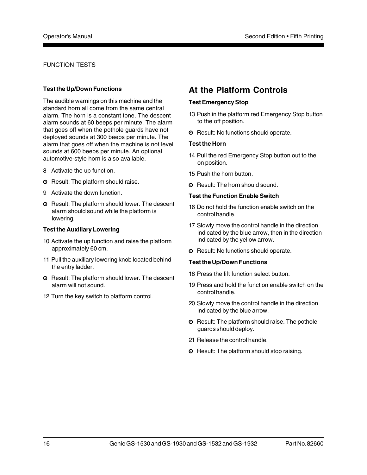#### FUNCTION TESTS

#### **Test the Up/Down Functions**

The audible warnings on this machine and the standard horn all come from the same central alarm. The horn is a constant tone. The descent alarm sounds at 60 beeps per minute. The alarm that goes off when the pothole guards have not deployed sounds at 300 beeps per minute. The alarm that goes off when the machine is not level sounds at 600 beeps per minute. An optional automotive-style horn is also available.

- 8 Activate the up function.
- **O** Result: The platform should raise.
- 9 Activate the down function.
- **O** Result: The platform should lower. The descent alarm should sound while the platform is lowering.

#### **Test the Auxiliary Lowering**

- 10 Activate the up function and raise the platform approximately 60 cm.
- 11 Pull the auxiliary lowering knob located behind the entry ladder.
- **O** Result: The platform should lower. The descent alarm will not sound.
- 12 Turn the key switch to platform control.

## **At the Platform Controls**

#### **Test Emergency Stop**

- 13 Push in the platform red Emergency Stop button to the off position.
- **O** Result: No functions should operate.

#### **Test the Horn**

- 14 Pull the red Emergency Stop button out to the on position.
- 15 Push the horn button.
- **O** Result: The horn should sound.

#### **Test the Function Enable Switch**

- 16 Do not hold the function enable switch on the control handle.
- 17 Slowly move the control handle in the direction indicated by the blue arrow, then in the direction indicated by the yellow arrow.
- **O** Result: No functions should operate.

#### **Test the Up/Down Functions**

- 18 Press the lift function select button.
- 19 Press and hold the function enable switch on the control handle.
- 20 Slowly move the control handle in the direction indicated by the blue arrow.
- **O** Result: The platform should raise. The pothole guards should deploy.
- 21 Release the control handle.
- **O** Result: The platform should stop raising.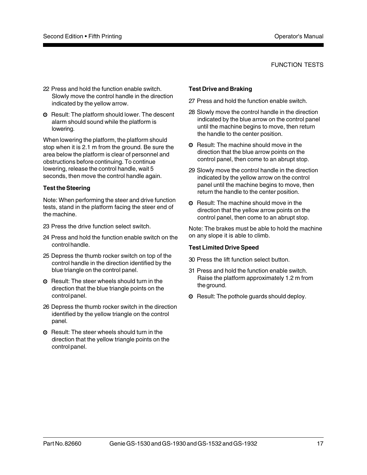#### FUNCTION TESTS

- 22 Press and hold the function enable switch. Slowly move the control handle in the direction indicated by the yellow arrow.
- **O** Result: The platform should lower. The descent alarm should sound while the platform is lowering.

When lowering the platform, the platform should stop when it is 2.1 m from the ground. Be sure the area below the platform is clear of personnel and obstructions before continuing. To continue lowering, release the control handle, wait 5 seconds, then move the control handle again.

#### **Test the Steering**

Note: When performing the steer and drive function tests, stand in the platform facing the steer end of the machine.

- 23 Press the drive function select switch.
- 24 Press and hold the function enable switch on the control handle.
- 25 Depress the thumb rocker switch on top of the control handle in the direction identified by the blue triangle on the control panel.
- **O** Result: The steer wheels should turn in the direction that the blue triangle points on the control panel.
- 26 Depress the thumb rocker switch in the direction identified by the yellow triangle on the control panel.
- **O** Result: The steer wheels should turn in the direction that the yellow triangle points on the control panel.

#### **Test Drive and Braking**

- 27 Press and hold the function enable switch.
- 28 Slowly move the control handle in the direction indicated by the blue arrow on the control panel until the machine begins to move, then return the handle to the center position.
- **O** Result: The machine should move in the direction that the blue arrow points on the control panel, then come to an abrupt stop.
- 29 Slowly move the control handle in the direction indicated by the yellow arrow on the control panel until the machine begins to move, then return the handle to the center position.
- **O** Result: The machine should move in the direction that the yellow arrow points on the control panel, then come to an abrupt stop.

Note: The brakes must be able to hold the machine on any slope it is able to climb.

#### **Test Limited Drive Speed**

- 30 Press the lift function select button.
- 31 Press and hold the function enable switch. Raise the platform approximately 1.2 m from the ground.
- **O** Result: The pothole guards should deploy.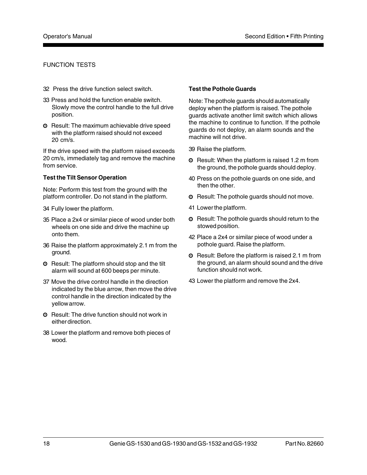#### FUNCTION TESTS

- 32 Press the drive function select switch.
- 33 Press and hold the function enable switch. Slowly move the control handle to the full drive position.
- **O** Result: The maximum achievable drive speed with the platform raised should not exceed 20 cm/s.

If the drive speed with the platform raised exceeds 20 cm/s, immediately tag and remove the machine from service.

#### **Test the Tilt Sensor Operation**

Note: Perform this test from the ground with the platform controller. Do not stand in the platform.

- 34 Fully lower the platform.
- 35 Place a 2x4 or similar piece of wood under both wheels on one side and drive the machine up onto them.
- 36 Raise the platform approximately 2.1 m from the ground.
- **O** Result: The platform should stop and the tilt alarm will sound at 600 beeps per minute.
- 37 Move the drive control handle in the direction indicated by the blue arrow, then move the drive control handle in the direction indicated by the yellow arrow.
- **O** Result: The drive function should not work in either direction.
- 38 Lower the platform and remove both pieces of wood.

#### **Test the Pothole Guards**

Note: The pothole guards should automatically deploy when the platform is raised. The pothole guards activate another limit switch which allows the machine to continue to function. If the pothole guards do not deploy, an alarm sounds and the machine will not drive.

39 Raise the platform.

- **O** Result: When the platform is raised 1.2 m from the ground, the pothole guards should deploy.
- 40 Press on the pothole guards on one side, and then the other.
- **O** Result: The pothole guards should not move.
- 41 Lower the platform.
- **O** Result: The pothole quards should return to the stowed position.
- 42 Place a 2x4 or similar piece of wood under a pothole guard. Raise the platform.
- **O** Result: Before the platform is raised 2.1 m from the ground, an alarm should sound and the drive function should not work.
- 43 Lower the platform and remove the 2x4.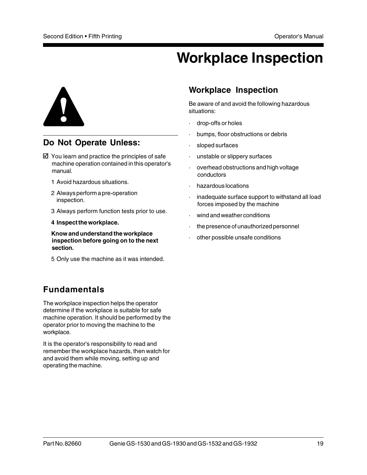## **Workplace Inspection**



## **Do Not Operate Unless:**

- $\boxtimes$  You learn and practice the principles of safe machine operation contained in this operator's manual.
	- 1 Avoid hazardous situations.
	- 2 Always perform a pre-operation inspection.
	- 3 Always perform function tests prior to use.
	- **4 Inspect the workplace.**

**Know and understand the workplace inspection before going on to the next section.**

5 Only use the machine as it was intended.

## **Fundamentals**

The workplace inspection helps the operator determine if the workplace is suitable for safe machine operation. It should be performed by the operator prior to moving the machine to the workplace.

It is the operator's responsibility to read and remember the workplace hazards, then watch for and avoid them while moving, setting up and operating the machine.

## **Workplace Inspection**

Be aware of and avoid the following hazardous situations:

- drop-offs or holes
- bumps, floor obstructions or debris
- sloped surfaces
- unstable or slippery surfaces
- · overhead obstructions and high voltage conductors
- · hazardous locations
- inadequate surface support to withstand all load forces imposed by the machine
- wind and weather conditions
- · the presence of unauthorized personnel
- other possible unsafe conditions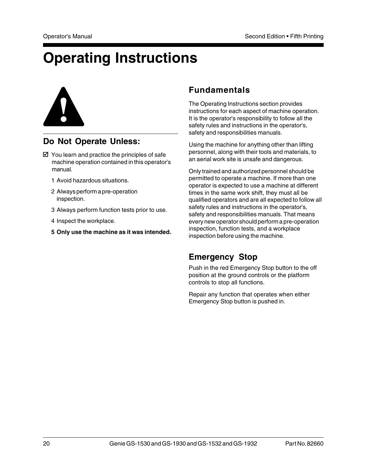## **Operating Instructions**



## **Do Not Operate Unless:**

- $\boxtimes$  You learn and practice the principles of safe machine operation contained in this operator's manual.
	- 1 Avoid hazardous situations.
	- 2 Always perform a pre-operation inspection.
	- 3 Always perform function tests prior to use.
	- 4 Inspect the workplace.
	- **5 Only use the machine as it was intended.**

## **Fundamentals**

The Operating Instructions section provides instructions for each aspect of machine operation. It is the operator's responsibility to follow all the safety rules and instructions in the operator's, safety and responsibilities manuals.

Using the machine for anything other than lifting personnel, along with their tools and materials, to an aerial work site is unsafe and dangerous.

Only trained and authorized personnel should be permitted to operate a machine. If more than one operator is expected to use a machine at different times in the same work shift, they must all be qualified operators and are all expected to follow all safety rules and instructions in the operator's, safety and responsibilities manuals. That means every new operator should perform a pre-operation inspection, function tests, and a workplace inspection before using the machine.

## **Emergency Stop**

Push in the red Emergency Stop button to the off position at the ground controls or the platform controls to stop all functions.

Repair any function that operates when either Emergency Stop button is pushed in.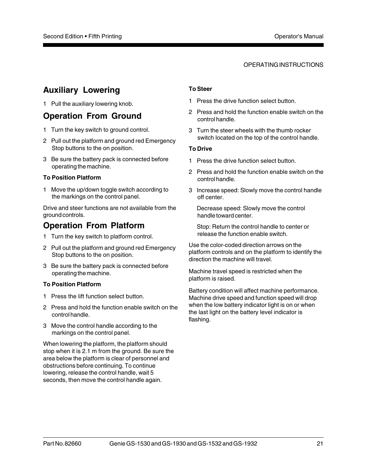#### OPERATING INSTRUCTIONS

## **Auxiliary Lowering**

1 Pull the auxiliary lowering knob.

### **Operation From Ground**

- 1 Turn the key switch to ground control.
- 2 Pull out the platform and ground red Emergency Stop buttons to the on position.
- 3 Be sure the battery pack is connected before operating the machine.

#### **To Position Platform**

1 Move the up/down toggle switch according to the markings on the control panel.

Drive and steer functions are not available from the ground controls.

## **Operation From Platform**

- 1 Turn the key switch to platform control.
- 2 Pull out the platform and ground red Emergency Stop buttons to the on position.
- 3 Be sure the battery pack is connected before operating the machine.

#### **To Position Platform**

- 1 Press the lift function select button.
- 2 Press and hold the function enable switch on the control handle.
- 3 Move the control handle according to the markings on the control panel.

When lowering the platform, the platform should stop when it is 2.1 m from the ground. Be sure the area below the platform is clear of personnel and obstructions before continuing. To continue lowering, release the control handle, wait 5 seconds, then move the control handle again.

#### **To Steer**

- 1 Press the drive function select button.
- 2 Press and hold the function enable switch on the control handle.
- 3 Turn the steer wheels with the thumb rocker switch located on the top of the control handle.

#### **To Drive**

- 1 Press the drive function select button.
- 2 Press and hold the function enable switch on the control handle.
- 3 Increase speed: Slowly move the control handle off center.

Decrease speed: Slowly move the control handle toward center.

Stop: Return the control handle to center or release the function enable switch.

Use the color-coded direction arrows on the platform controls and on the platform to identify the direction the machine will travel.

Machine travel speed is restricted when the platform is raised.

Battery condition will affect machine performance. Machine drive speed and function speed will drop when the low battery indicator light is on or when the last light on the battery level indicator is flashing.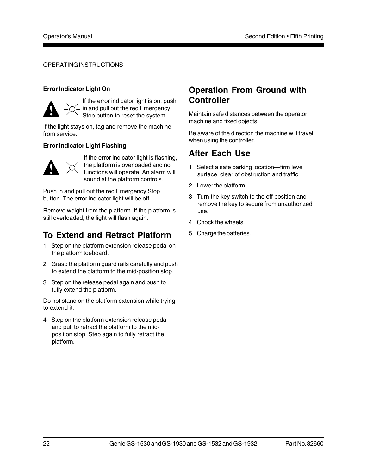#### OPERATING INSTRUCTIONS

#### **Error Indicator Light On**



If the error indicator light is on, push in and pull out the red Emergency Stop button to reset the system.

If the light stays on, tag and remove the machine from service.

#### **Error Indicator Light Flashing**



If the error indicator light is flashing, the platform is overloaded and no functions will operate. An alarm will sound at the platform controls.

Push in and pull out the red Emergency Stop button. The error indicator light will be off.

Remove weight from the platform. If the platform is still overloaded, the light will flash again.

## **To Extend and Retract Platform**

- 1 Step on the platform extension release pedal on the platform toeboard.
- 2 Grasp the platform guard rails carefully and push to extend the platform to the mid-position stop.
- 3 Step on the release pedal again and push to fully extend the platform.

Do not stand on the platform extension while trying to extend it.

4 Step on the platform extension release pedal and pull to retract the platform to the midposition stop. Step again to fully retract the platform.

## **Operation From Ground with Controller**

Maintain safe distances between the operator, machine and fixed objects.

Be aware of the direction the machine will travel when using the controller.

## **After Each Use**

- 1 Select a safe parking location—firm level surface, clear of obstruction and traffic.
- 2 Lower the platform.
- 3 Turn the key switch to the off position and remove the key to secure from unauthorized use.
- 4 Chock the wheels.
- 5 Charge the batteries.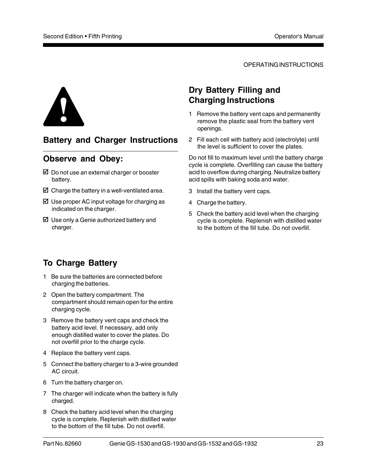OPERATING INSTRUCTIONS



## **Battery and Charger Instructions**

## **Observe and Obey:**

- $\boxtimes$  Do not use an external charger or booster battery.
- $\boxtimes$  Charge the battery in a well-ventilated area.
- $\boxtimes$  Use proper AC input voltage for charging as indicated on the charger.
- $\boxtimes$  Use only a Genie authorized battery and charger.

## **Dry Battery Filling and Charging Instructions**

- 1 Remove the battery vent caps and permanently remove the plastic seal from the battery vent openings.
- 2 Fill each cell with battery acid (electrolyte) until the level is sufficient to cover the plates.

Do not fill to maximum level until the battery charge cycle is complete. Overfilling can cause the battery acid to overflow during charging. Neutralize battery acid spills with baking soda and water.

- 3 Install the battery vent caps.
- 4 Charge the battery.
- 5 Check the battery acid level when the charging cycle is complete. Replenish with distilled water to the bottom of the fill tube. Do not overfill.

## **To Charge Battery**

- 1 Be sure the batteries are connected before charging the batteries.
- 2 Open the battery compartment. The compartment should remain open for the entire charging cycle.
- 3 Remove the battery vent caps and check the battery acid level. If necessary, add only enough distilled water to cover the plates. Do not overfill prior to the charge cycle.
- 4 Replace the battery vent caps.
- 5 Connect the battery charger to a 3-wire grounded AC circuit.
- 6 Turn the battery charger on.
- 7 The charger will indicate when the battery is fully charged.
- 8 Check the battery acid level when the charging cycle is complete. Replenish with distilled water to the bottom of the fill tube. Do not overfill.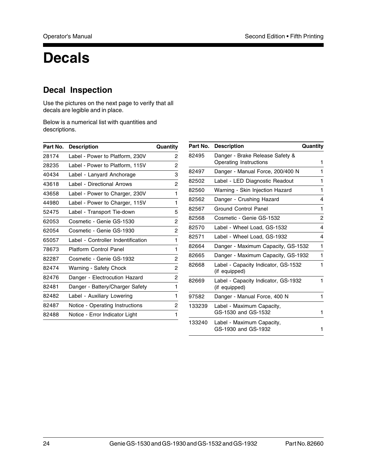## **Decals**

## **Decal Inspection**

Use the pictures on the next page to verify that all decals are legible and in place.

Below is a numerical list with quantities and descriptions.

| Part No. | <b>Description</b>                 | Quantity |
|----------|------------------------------------|----------|
| 28174    | Label - Power to Platform, 230V    | 2        |
| 28235    | Label - Power to Platform, 115V    | 2        |
| 40434    | Label - Lanyard Anchorage          | 3        |
| 43618    | Label - Directional Arrows         | 2        |
| 43658    | Label - Power to Charger, 230V     | 1        |
| 44980    | Label - Power to Charger, 115V     | 1        |
| 52475    | Label - Transport Tie-down         | 5        |
| 62053    | Cosmetic - Genie GS-1530           | 2        |
| 62054    | Cosmetic - Genie GS-1930           | 2        |
| 65057    | Label - Controller Indentification | 1        |
| 78673    | Platform Control Panel             | 1        |
| 82287    | Cosmetic - Genie GS-1932           | 2        |
| 82474    | Warning - Safety Chock             | 2        |
| 82476    | Danger - Electrocution Hazard      | 2        |
| 82481    | Danger - Battery/Charger Safety    | 1        |
| 82482    | Label - Auxiliary Lowering         | 1        |
| 82487    | Notice - Operating Instructions    | 2        |
| 82488    | Notice - Error Indicator Light     | 1        |

| Part No. | <b>Description</b>                                        | Quantity |
|----------|-----------------------------------------------------------|----------|
| 82495    | Danger - Brake Release Safety &<br>Operating Instructions | 1        |
| 82497    | Danger - Manual Force, 200/400 N                          | 1        |
| 82502    | Label - LED Diagnostic Readout                            | 1        |
| 82560    | Warning - Skin Injection Hazard                           | 1        |
| 82562    | Danger - Crushing Hazard                                  | 4        |
| 82567    | Ground Control Panel                                      | 1        |
| 82568    | Cosmetic - Genie GS-1532                                  | 2        |
| 82570    | Label - Wheel Load, GS-1532                               | 4        |
| 82571    | Label - Wheel Load, GS-1932                               | 4        |
| 82664    | Danger - Maximum Capacity, GS-1532                        | 1        |
| 82665    | Danger - Maximum Capacity, GS-1932                        | 1        |
| 82668    | Label - Capacity Indicator, GS-1532<br>(if equipped)      | 1        |
| 82669    | Label - Capacity Indicator, GS-1932<br>(if equipped)      | 1        |
| 97582    | Danger - Manual Force, 400 N                              | 1        |
| 133239   | Label - Maximum Capacity,                                 |          |

GS-1530 and GS-1532 1 133240 Label - Maximum Capacity, GS-1930 and GS-1932 1

 $\overline{\phantom{0}}$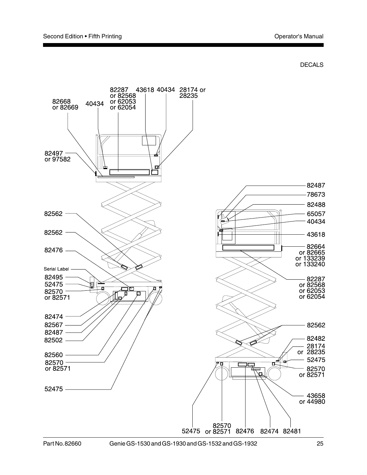

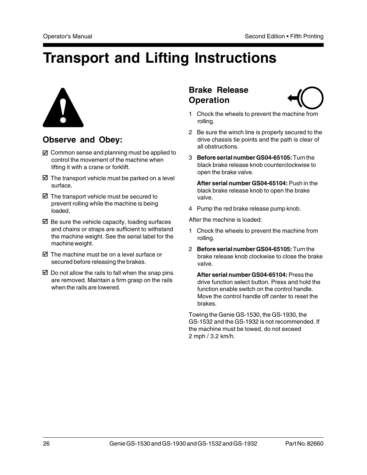## **Transport and Lifting Instructions**



## **Observe and Obey:**

- $\boxtimes$  Common sense and planning must be applied to control the movement of the machine when lifting it with a crane or forklift.
- $\boxtimes$  The transport vehicle must be parked on a level surface.
- $\boxtimes$  The transport vehicle must be secured to prevent rolling while the machine is being loaded.
- $\boxtimes$  Be sure the vehicle capacity, loading surfaces and chains or straps are sufficient to withstand the machine weight. See the serial label for the machine weight.
- $\boxtimes$  The machine must be on a level surface or secured before releasing the brakes.
- $\boxtimes$  Do not allow the rails to fall when the snap pins are removed. Maintain a firm grasp on the rails when the rails are lowered.

## **Brake Release Operation**



- 1 Chock the wheels to prevent the machine from rolling.
- 2 Be sure the winch line is properly secured to the drive chassis tie points and the path is clear of all obstructions.
- 3 **Before serial number GS04-65105:** Turn the black brake release knob counterclockwise to open the brake valve.

**After serial number GS04-65104:** Push in the black brake release knob to open the brake valve.

4 Pump the red brake release pump knob.

After the machine is loaded:

- 1 Chock the wheels to prevent the machine from rolling.
- 2 **Before serial number GS04-65105:** Turn the brake release knob clockwise to close the brake valve.

**After serial number GS04-65104:** Press the drive function select button. Press and hold the function enable switch on the control handle. Move the control handle off center to reset the brakes.

Towing the Genie GS-1530, the GS-1930, the GS-1532 and the GS-1932 is not recommended. If the machine must be towed, do not exceed 2 mph / 3.2 km/h.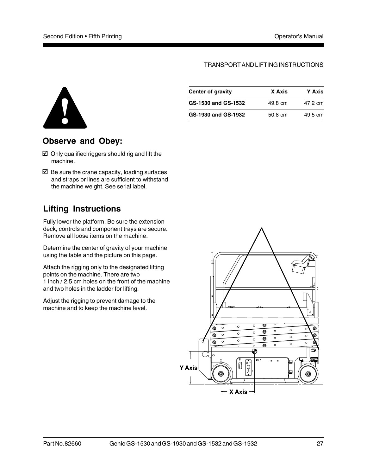#### TRANSPORT AND LIFTING INSTRUCTIONS



## **Observe and Obey:**

- $\boxtimes$  Only qualified riggers should rig and lift the machine.
- $\boxtimes$  Be sure the crane capacity, loading surfaces and straps or lines are sufficient to withstand the machine weight. See serial label.

## **Lifting Instructions**

Fully lower the platform. Be sure the extension deck, controls and component trays are secure. Remove all loose items on the machine.

Determine the center of gravity of your machine using the table and the picture on this page.

Attach the rigging only to the designated lifting points on the machine. There are two 1 inch / 2.5 cm holes on the front of the machine and two holes in the ladder for lifting.

Adjust the rigging to prevent damage to the machine and to keep the machine level.

| Center of gravity   | X Axis  | <b>Y</b> Axis |
|---------------------|---------|---------------|
| GS-1530 and GS-1532 | 49.8 cm | 47.2 cm       |
| GS-1930 and GS-1932 | 50.8 cm | 49.5 cm       |

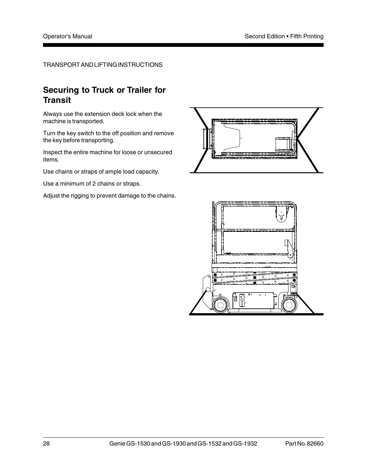#### TRANSPORT AND LIFTING INSTRUCTIONS

## **Securing to Truck or Trailer for Transit**

Always use the extension deck lock when the machine is transported.

Turn the key switch to the off position and remove the key before transporting.

Inspect the entire machine for loose or unsecured items.

Use chains or straps of ample load capacity.

Use a minimum of 2 chains or straps.

Adjust the rigging to prevent damage to the chains.



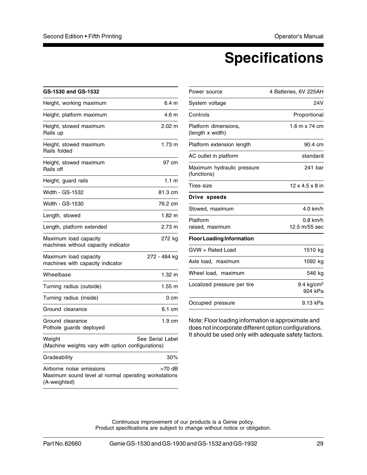## **Specifications**

| <b>GS-1530 and GS-1532</b>                                                                       |                  |
|--------------------------------------------------------------------------------------------------|------------------|
| Height, working maximum                                                                          | 6.4 <sub>m</sub> |
| Height, platform maximum                                                                         | 4.6 m            |
| Height, stowed maximum<br>Rails up                                                               | $2.02 \text{ m}$ |
| Height, stowed maximum<br>Rails folded                                                           | 1.73 m           |
| Height, stowed maximum<br>Rails off                                                              | 97 cm            |
| Height, guard rails                                                                              | 1.1 <sub>m</sub> |
| Width - GS-1532                                                                                  | 81.3 cm          |
| Width - GS-1530                                                                                  | 76.2 cm          |
| Length, stowed                                                                                   | $1.82 \text{ m}$ |
| Length, platform extended                                                                        | 2.73 m           |
| Maximum load capacity<br>machines without capacity indicator                                     | 272 kg           |
| Maximum load capacity<br>machines with capacity indicator                                        | 272 - 484 ka     |
| Wheelbase                                                                                        | $1.32 \; m$      |
| Turning radius (outside)                                                                         | 1.55 m           |
| Turning radius (inside)                                                                          | 0 cm             |
| Ground clearance                                                                                 | 6.1 cm           |
| Ground clearance<br>Pothole guards deployed                                                      | $1.9 \text{ cm}$ |
| Weight<br>(Machine weights vary with option configurations)                                      | See Serial Label |
| Gradeability                                                                                     | 30%              |
| Airborne noise emissions<br>Maximum sound level at normal operating workstations<br>(A-weighted) | >70 dB           |

| 4 Batteries, 6V 225AH       |
|-----------------------------|
| 24V                         |
| Proportional                |
| $1.6$ m x 74 cm             |
| 90.4 cm                     |
| standard                    |
| 241 bar                     |
| $12 \times 4.5 \times 8$ in |
|                             |
| 4.0 km/h                    |
| $0.8$ km/h<br>12.5 m/55 sec |
|                             |
| 1510 kg                     |
| 1092 kg                     |
| 546 kg                      |
| 9.4 $kg/cm2$<br>924 kPa     |
| 9.13 kPa                    |
|                             |

Note: Floor loading information is approximate and does not incorporate different option configurations. It should be used only with adequate safety factors.

Continuous improvement of our products is a Genie policy. Product specifications are subject to change without notice or obligation.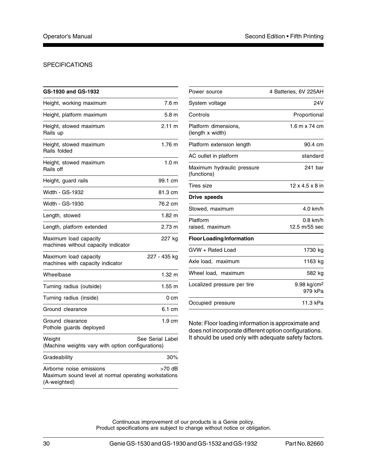#### SPECIFICATIONS

| <b>GS-1930 and GS-1932</b>                                                                       |                  |
|--------------------------------------------------------------------------------------------------|------------------|
| Height, working maximum                                                                          | 7.6 m            |
| Height, platform maximum                                                                         | 5.8 m            |
| Height, stowed maximum<br>Rails up                                                               | $2.11 \text{ m}$ |
| Height, stowed maximum<br>Rails folded                                                           | 1.76 m           |
| Height, stowed maximum<br>Rails off                                                              | 1.0 <sub>m</sub> |
| Height, guard rails                                                                              | 99.1 cm          |
| Width - GS-1932                                                                                  | 81.3 cm          |
| Width - GS-1930                                                                                  | 76.2 cm          |
| Length, stowed                                                                                   | $1.82 \; m$      |
| Length, platform extended                                                                        | $2.73 \text{ m}$ |
| Maximum load capacity<br>machines without capacity indicator                                     | 227 kg           |
| Maximum load capacity<br>machines with capacity indicator                                        | 227 - 435 ka     |
| Wheelbase                                                                                        | 1.32 m           |
| Turning radius (outside)                                                                         | $1.55 \text{ m}$ |
| Turning radius (inside)                                                                          | 0 cm             |
| Ground clearance                                                                                 | 6.1 cm           |
| Ground clearance<br>Pothole guards deployed                                                      | $1.9 \text{ cm}$ |
| Weight<br>(Machine weights vary with option configurations)                                      | See Serial Label |
| Gradeability                                                                                     | 30%              |
| Airborne noise emissions<br>Maximum sound level at normal operating workstations<br>(A-weighted) | >70 dB           |

| Power source                              | 4 Batteries, 6V 225AH              |
|-------------------------------------------|------------------------------------|
| System voltage                            | 24V                                |
| Controls                                  | Proportional                       |
| Platform dimensions,<br>(length x width)  | 1.6 m x 74 cm                      |
| Platform extension length                 | 90.4 cm                            |
| AC outlet in platform                     | standard                           |
| Maximum hydraulic pressure<br>(functions) | 241 bar                            |
| Tires size                                | $12 \times 4.5 \times 8$ in        |
| Drive speeds                              |                                    |
| Stowed, maximum                           | 4.0 km/h                           |
| Platform<br>raised, maximum               | $0.8$ km/h<br>12.5 m/55 sec        |
| <b>Floor Loading Information</b>          |                                    |
| GVW + Rated Load                          | 1730 kg                            |
| Axle load, maximum                        | 1163 kg                            |
| Wheel load, maximum                       | 582 kg                             |
| Localized pressure per tire               | 9.98 kg/cm <sup>2</sup><br>979 kPa |
| Occupied pressure                         | 11.3 kPa                           |

Note: Floor loading information is approximate and does not incorporate different option configurations. It should be used only with adequate safety factors.

Continuous improvement of our products is a Genie policy. Product specifications are subject to change without notice or obligation.